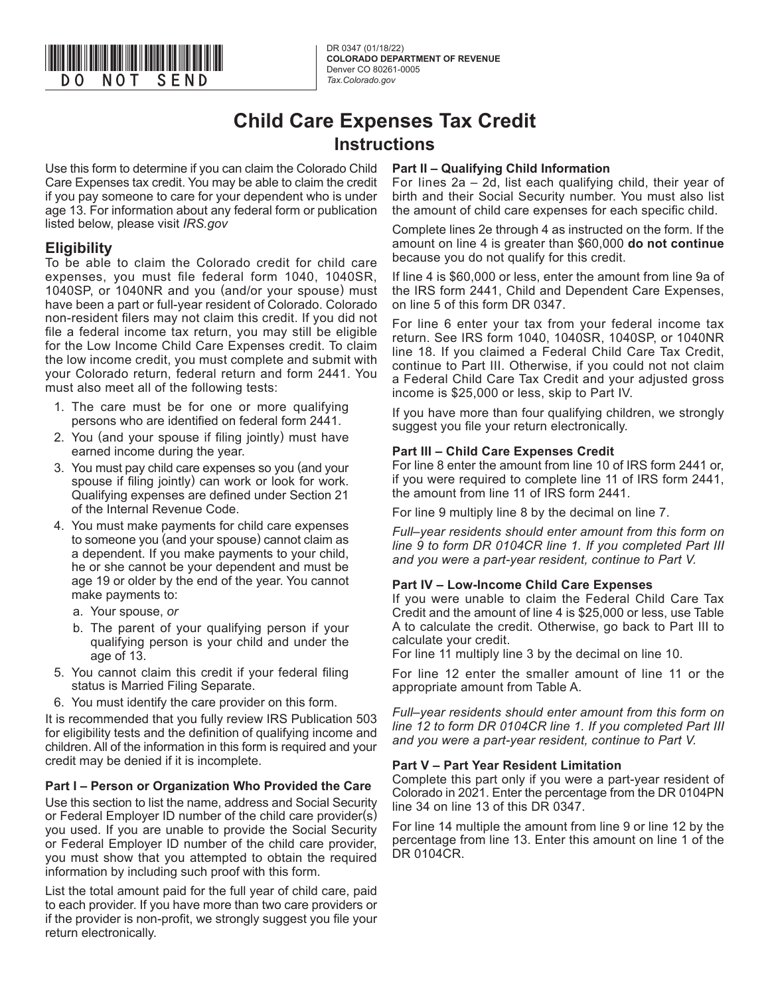

DR 0347 (01/18/22) **COLORADO DEPARTMENT OF REVENUE** Denver CO 80261-0005<br>Tax.Colorado.gov

## **Child Care Expenses Tax Credit Instructions**

Use this form to determine if you can claim the Colorado Child Care Expenses tax credit. You may be able to claim the credit if you pay someone to care for your dependent who is under age 13. For information about any federal form or publication listed below, please visit *IRS.gov*

### **Eligibility**

To be able to claim the Colorado credit for child care expenses, you must file federal form 1040, 1040SR, 1040SP, or 1040NR and you (and/or your spouse) must have been a part or full-year resident of Colorado. Colorado non-resident filers may not claim this credit. If you did not file a federal income tax return, you may still be eligible for the Low Income Child Care Expenses credit. To claim the low income credit, you must complete and submit with your Colorado return, federal return and form 2441. You must also meet all of the following tests:

- 1. The care must be for one or more qualifying persons who are identified on federal form 2441.
- 2. You (and your spouse if filing jointly) must have earned income during the year.
- 3. You must pay child care expenses so you (and your spouse if filing jointly) can work or look for work. Qualifying expenses are defined under Section 21 of the Internal Revenue Code.
- 4. You must make payments for child care expenses to someone you (and your spouse) cannot claim as a dependent. If you make payments to your child, he or she cannot be your dependent and must be age 19 or older by the end of the year. You cannot make payments to:
	- a. Your spouse, *or*
	- b. The parent of your qualifying person if your qualifying person is your child and under the age of 13.
- 5. You cannot claim this credit if your federal filing status is Married Filing Separate.
- 6. You must identify the care provider on this form.

It is recommended that you fully review IRS Publication 503 for eligibility tests and the definition of qualifying income and children. All of the information in this form is required and your credit may be denied if it is incomplete.

#### **Part I – Person or Organization Who Provided the Care**

Use this section to list the name, address and Social Security or Federal Employer ID number of the child care provider(s) you used. If you are unable to provide the Social Security or Federal Employer ID number of the child care provider, you must show that you attempted to obtain the required information by including such proof with this form.

List the total amount paid for the full year of child care, paid to each provider. If you have more than two care providers or if the provider is non-profit, we strongly suggest you file your return electronically.

#### **Part II – Qualifying Child Information**

For lines 2a – 2d, list each qualifying child, their year of birth and their Social Security number. You must also list the amount of child care expenses for each specific child.

Complete lines 2e through 4 as instructed on the form. If the amount on line 4 is greater than \$60,000 **do not continue** because you do not qualify for this credit.

If line 4 is \$60,000 or less, enter the amount from line 9a of the IRS form 2441, Child and Dependent Care Expenses, on line 5 of this form DR 0347.

For line 6 enter your tax from your federal income tax return. See IRS form 1040, 1040SR, 1040SP, or 1040NR line 18. If you claimed a Federal Child Care Tax Credit, continue to Part III. Otherwise, if you could not not claim a Federal Child Care Tax Credit and your adjusted gross income is \$25,000 or less, skip to Part IV.

If you have more than four qualifying children, we strongly suggest you file your return electronically.

#### **Part III – Child Care Expenses Credit**

For line 8 enter the amount from line 10 of IRS form 2441 or, if you were required to complete line 11 of IRS form 2441, the amount from line 11 of IRS form 2441.

For line 9 multiply line 8 by the decimal on line 7.

*Full–year residents should enter amount from this form on line 9 to form DR 0104CR line 1. If you completed Part III and you were a part-year resident, continue to Part V.*

#### **Part IV – Low-Income Child Care Expenses**

If you were unable to claim the Federal Child Care Tax Credit and the amount of line 4 is \$25,000 or less, use Table A to calculate the credit. Otherwise, go back to Part III to calculate your credit.

For line 11 multiply line 3 by the decimal on line 10.

For line 12 enter the smaller amount of line 11 or the appropriate amount from Table A.

*Full–year residents should enter amount from this form on line 12 to form DR 0104CR line 1. If you completed Part III and you were a part-year resident, continue to Part V.*

#### **Part V – Part Year Resident Limitation**

Complete this part only if you were a part-year resident of Colorado in 2021. Enter the percentage from the DR 0104PN line 34 on line 13 of this DR 0347.

For line 14 multiple the amount from line 9 or line 12 by the percentage from line 13. Enter this amount on line 1 of the DR 0104CR.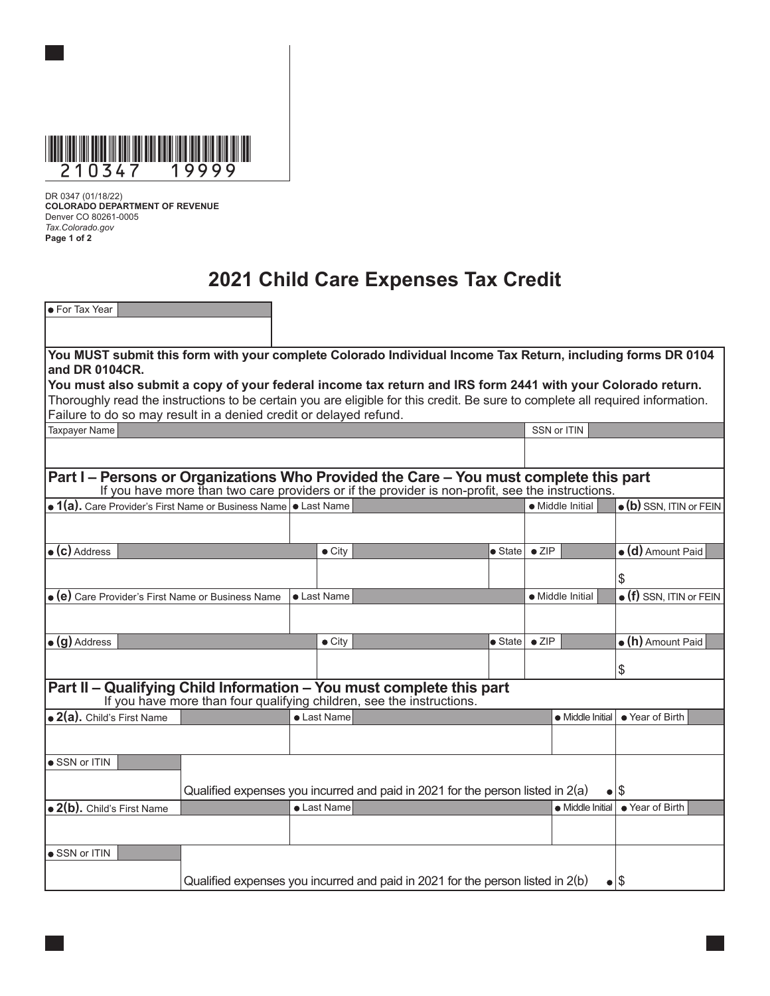

DR 0347 (01/18/22) **COLORADO DEPARTMENT OF REVENUE** Denver CO 80261-0005 *Tax.Colorado.gov* **Page 1 of 2**

# **2021 Child Care Expenses Tax Credit**

| • For Tax Year                                                                                                                                                                            |                                                                                                        |             |  |                |                                                                                                                                |                   |                                 |                    |                           |  |  |  |  |
|-------------------------------------------------------------------------------------------------------------------------------------------------------------------------------------------|--------------------------------------------------------------------------------------------------------|-------------|--|----------------|--------------------------------------------------------------------------------------------------------------------------------|-------------------|---------------------------------|--------------------|---------------------------|--|--|--|--|
|                                                                                                                                                                                           |                                                                                                        |             |  |                |                                                                                                                                |                   |                                 |                    |                           |  |  |  |  |
|                                                                                                                                                                                           |                                                                                                        |             |  |                |                                                                                                                                |                   |                                 |                    |                           |  |  |  |  |
| You MUST submit this form with your complete Colorado Individual Income Tax Return, including forms DR 0104<br>and DR 0104CR.                                                             |                                                                                                        |             |  |                |                                                                                                                                |                   |                                 |                    |                           |  |  |  |  |
|                                                                                                                                                                                           |                                                                                                        |             |  |                | You must also submit a copy of your federal income tax return and IRS form 2441 with your Colorado return.                     |                   |                                 |                    |                           |  |  |  |  |
|                                                                                                                                                                                           |                                                                                                        |             |  |                | Thoroughly read the instructions to be certain you are eligible for this credit. Be sure to complete all required information. |                   |                                 |                    |                           |  |  |  |  |
| Failure to do so may result in a denied credit or delayed refund.                                                                                                                         |                                                                                                        |             |  |                |                                                                                                                                |                   |                                 |                    |                           |  |  |  |  |
| Taxpayer Name                                                                                                                                                                             |                                                                                                        |             |  |                |                                                                                                                                |                   |                                 | SSN or ITIN        |                           |  |  |  |  |
|                                                                                                                                                                                           |                                                                                                        |             |  |                |                                                                                                                                |                   |                                 |                    |                           |  |  |  |  |
|                                                                                                                                                                                           |                                                                                                        |             |  |                |                                                                                                                                |                   |                                 |                    |                           |  |  |  |  |
| Part I – Persons or Organizations Who Provided the Care – You must complete this part<br>If you have more than two care providers or if the provider is non-profit, see the instructions. |                                                                                                        |             |  |                |                                                                                                                                |                   |                                 |                    |                           |  |  |  |  |
| • 1(a). Care Provider's First Name or Business Name • Last Name                                                                                                                           |                                                                                                        |             |  |                |                                                                                                                                |                   |                                 | • Middle Initial   | · (b) SSN, ITIN or FEIN   |  |  |  |  |
|                                                                                                                                                                                           |                                                                                                        |             |  |                |                                                                                                                                |                   |                                 |                    |                           |  |  |  |  |
|                                                                                                                                                                                           |                                                                                                        |             |  |                |                                                                                                                                |                   |                                 |                    |                           |  |  |  |  |
| $\bullet$ (c) Address                                                                                                                                                                     |                                                                                                        |             |  | $\bullet$ City |                                                                                                                                | $\bullet$ State   | $\bullet$ ZIP                   |                    | $\bullet$ (d) Amount Paid |  |  |  |  |
|                                                                                                                                                                                           |                                                                                                        |             |  |                |                                                                                                                                |                   |                                 |                    |                           |  |  |  |  |
|                                                                                                                                                                                           |                                                                                                        |             |  |                |                                                                                                                                |                   |                                 |                    | \$                        |  |  |  |  |
|                                                                                                                                                                                           | . (e) Care Provider's First Name or Business Name                                                      | • Last Name |  |                | • Middle Initial                                                                                                               |                   | $\bullet$ (f) SSN, ITIN or FEIN |                    |                           |  |  |  |  |
|                                                                                                                                                                                           |                                                                                                        |             |  |                |                                                                                                                                |                   |                                 |                    |                           |  |  |  |  |
| $\bullet$ (g) Address                                                                                                                                                                     |                                                                                                        |             |  | $\bullet$ City |                                                                                                                                | $\bullet$ State I | $\bullet$ ZIP                   |                    | $\bullet$ (h) Amount Paid |  |  |  |  |
|                                                                                                                                                                                           |                                                                                                        |             |  |                |                                                                                                                                |                   |                                 |                    |                           |  |  |  |  |
|                                                                                                                                                                                           |                                                                                                        |             |  |                |                                                                                                                                |                   |                                 |                    | \$                        |  |  |  |  |
|                                                                                                                                                                                           |                                                                                                        |             |  |                | Part II - Qualifying Child Information - You must complete this part                                                           |                   |                                 |                    |                           |  |  |  |  |
|                                                                                                                                                                                           |                                                                                                        |             |  |                | If you have more than four qualifying children, see the instructions.                                                          |                   |                                 |                    |                           |  |  |  |  |
| • 2(a). Child's First Name                                                                                                                                                                |                                                                                                        |             |  | • Last Name    |                                                                                                                                |                   |                                 | • Middle Initial I | • Year of Birth           |  |  |  |  |
|                                                                                                                                                                                           |                                                                                                        |             |  |                |                                                                                                                                |                   |                                 |                    |                           |  |  |  |  |
|                                                                                                                                                                                           |                                                                                                        |             |  |                |                                                                                                                                |                   |                                 |                    |                           |  |  |  |  |
| • SSN or ITIN                                                                                                                                                                             |                                                                                                        |             |  |                |                                                                                                                                |                   |                                 |                    |                           |  |  |  |  |
|                                                                                                                                                                                           |                                                                                                        |             |  |                | Qualified expenses you incurred and paid in 2021 for the person listed in $2(a)$                                               |                   |                                 | $\bullet$          | 1\$                       |  |  |  |  |
| $\bullet$ 2(b). Child's First Name                                                                                                                                                        |                                                                                                        |             |  | • Last Name    |                                                                                                                                |                   |                                 | • Middle Initial   | • Year of Birth           |  |  |  |  |
|                                                                                                                                                                                           |                                                                                                        |             |  |                |                                                                                                                                |                   |                                 |                    |                           |  |  |  |  |
|                                                                                                                                                                                           |                                                                                                        |             |  |                |                                                                                                                                |                   |                                 |                    |                           |  |  |  |  |
| • SSN or ITIN                                                                                                                                                                             |                                                                                                        |             |  |                |                                                                                                                                |                   |                                 |                    |                           |  |  |  |  |
|                                                                                                                                                                                           |                                                                                                        |             |  |                |                                                                                                                                |                   |                                 |                    |                           |  |  |  |  |
|                                                                                                                                                                                           | Qualified expenses you incurred and paid in 2021 for the person listed in 2(b)<br>$\bullet$ $\sqrt{5}$ |             |  |                |                                                                                                                                |                   |                                 |                    |                           |  |  |  |  |